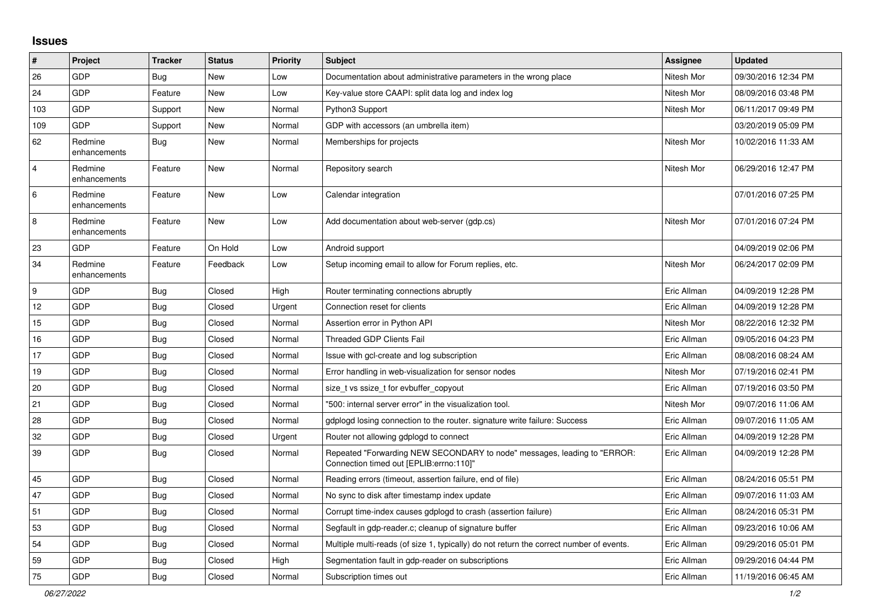## **Issues**

| $\sharp$       | Project                 | <b>Tracker</b> | <b>Status</b> | <b>Priority</b> | <b>Subject</b>                                                                                                      | <b>Assignee</b> | <b>Updated</b>      |
|----------------|-------------------------|----------------|---------------|-----------------|---------------------------------------------------------------------------------------------------------------------|-----------------|---------------------|
| 26             | GDP                     | Bug            | New           | Low             | Documentation about administrative parameters in the wrong place                                                    | Nitesh Mor      | 09/30/2016 12:34 PM |
| 24             | GDP                     | Feature        | New           | Low             | Key-value store CAAPI: split data log and index log                                                                 | Nitesh Mor      | 08/09/2016 03:48 PM |
| 103            | GDP                     | Support        | New           | Normal          | Python3 Support                                                                                                     | Nitesh Mor      | 06/11/2017 09:49 PM |
| 109            | <b>GDP</b>              | Support        | New           | Normal          | GDP with accessors (an umbrella item)                                                                               |                 | 03/20/2019 05:09 PM |
| 62             | Redmine<br>enhancements | <b>Bug</b>     | New           | Normal          | Memberships for projects                                                                                            | Nitesh Mor      | 10/02/2016 11:33 AM |
| $\overline{4}$ | Redmine<br>enhancements | Feature        | <b>New</b>    | Normal          | Repository search                                                                                                   | Nitesh Mor      | 06/29/2016 12:47 PM |
| $\,6\,$        | Redmine<br>enhancements | Feature        | New           | Low             | Calendar integration                                                                                                |                 | 07/01/2016 07:25 PM |
| $\,8\,$        | Redmine<br>enhancements | Feature        | New           | Low             | Add documentation about web-server (gdp.cs)                                                                         | Nitesh Mor      | 07/01/2016 07:24 PM |
| 23             | GDP                     | Feature        | On Hold       | Low             | Android support                                                                                                     |                 | 04/09/2019 02:06 PM |
| 34             | Redmine<br>enhancements | Feature        | Feedback      | Low             | Setup incoming email to allow for Forum replies, etc.                                                               | Nitesh Mor      | 06/24/2017 02:09 PM |
| 9              | GDP                     | <b>Bug</b>     | Closed        | High            | Router terminating connections abruptly                                                                             | Eric Allman     | 04/09/2019 12:28 PM |
| 12             | GDP                     | <b>Bug</b>     | Closed        | Urgent          | Connection reset for clients                                                                                        | Eric Allman     | 04/09/2019 12:28 PM |
| 15             | GDP                     | <b>Bug</b>     | Closed        | Normal          | Assertion error in Python API                                                                                       | Nitesh Mor      | 08/22/2016 12:32 PM |
| 16             | <b>GDP</b>              | Bug            | Closed        | Normal          | <b>Threaded GDP Clients Fail</b>                                                                                    | Eric Allman     | 09/05/2016 04:23 PM |
| 17             | GDP                     | <b>Bug</b>     | Closed        | Normal          | Issue with gcl-create and log subscription                                                                          | Eric Allman     | 08/08/2016 08:24 AM |
| 19             | GDP                     | <b>Bug</b>     | Closed        | Normal          | Error handling in web-visualization for sensor nodes                                                                | Nitesh Mor      | 07/19/2016 02:41 PM |
| 20             | GDP                     | <b>Bug</b>     | Closed        | Normal          | size t vs ssize t for evbuffer copyout                                                                              | Eric Allman     | 07/19/2016 03:50 PM |
| 21             | GDP                     | <b>Bug</b>     | Closed        | Normal          | "500: internal server error" in the visualization tool.                                                             | Nitesh Mor      | 09/07/2016 11:06 AM |
| 28             | GDP                     | <b>Bug</b>     | Closed        | Normal          | gdplogd losing connection to the router. signature write failure: Success                                           | Eric Allman     | 09/07/2016 11:05 AM |
| 32             | GDP                     | <b>Bug</b>     | Closed        | Urgent          | Router not allowing gdplogd to connect                                                                              | Eric Allman     | 04/09/2019 12:28 PM |
| 39             | <b>GDP</b>              | Bug            | Closed        | Normal          | Repeated "Forwarding NEW SECONDARY to node" messages, leading to "ERROR:<br>Connection timed out [EPLIB:errno:110]" | Eric Allman     | 04/09/2019 12:28 PM |
| 45             | GDP                     | <b>Bug</b>     | Closed        | Normal          | Reading errors (timeout, assertion failure, end of file)                                                            | Eric Allman     | 08/24/2016 05:51 PM |
| 47             | <b>GDP</b>              | <b>Bug</b>     | Closed        | Normal          | No sync to disk after timestamp index update                                                                        | Eric Allman     | 09/07/2016 11:03 AM |
| 51             | GDP                     | Bug            | Closed        | Normal          | Corrupt time-index causes gdplogd to crash (assertion failure)                                                      | Eric Allman     | 08/24/2016 05:31 PM |
| 53             | GDP                     | <b>Bug</b>     | Closed        | Normal          | Segfault in gdp-reader.c; cleanup of signature buffer                                                               | Eric Allman     | 09/23/2016 10:06 AM |
| 54             | GDP                     | <b>Bug</b>     | Closed        | Normal          | Multiple multi-reads (of size 1, typically) do not return the correct number of events.                             | Eric Allman     | 09/29/2016 05:01 PM |
| 59             | GDP                     | Bug            | Closed        | High            | Segmentation fault in gdp-reader on subscriptions                                                                   | Eric Allman     | 09/29/2016 04:44 PM |
| 75             | GDP                     | Bug            | Closed        | Normal          | Subscription times out                                                                                              | Eric Allman     | 11/19/2016 06:45 AM |